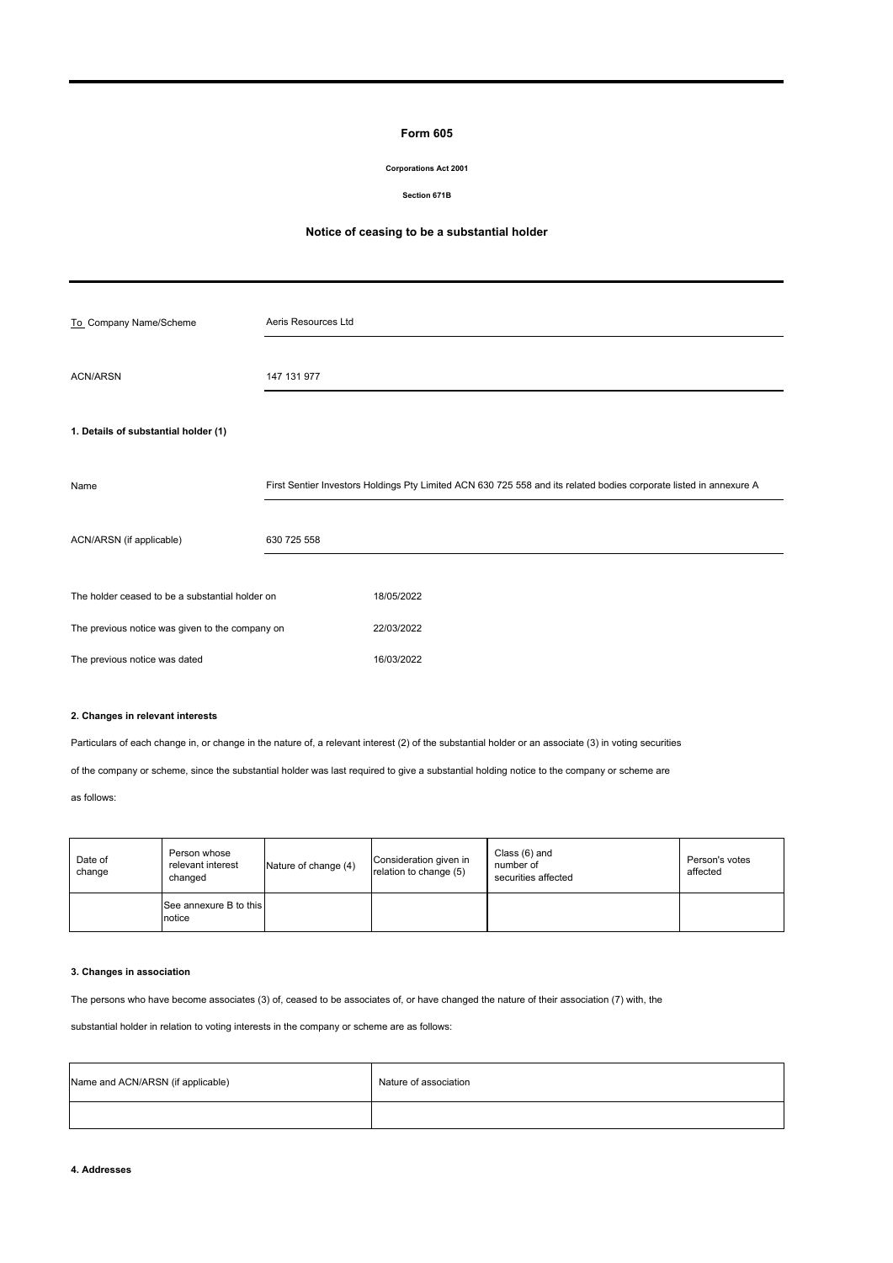# **Form 605**

## **Corporations Act 2001**

#### **Section 671B**

## **Notice of ceasing to be a substantial holder**

| To Company Name/Scheme                          | Aeris Resources Ltd |                                                                                                                    |
|-------------------------------------------------|---------------------|--------------------------------------------------------------------------------------------------------------------|
| <b>ACN/ARSN</b>                                 | 147 131 977         |                                                                                                                    |
| 1. Details of substantial holder (1)            |                     |                                                                                                                    |
| Name                                            |                     | First Sentier Investors Holdings Pty Limited ACN 630 725 558 and its related bodies corporate listed in annexure A |
| ACN/ARSN (if applicable)                        | 630 725 558         |                                                                                                                    |
| The holder ceased to be a substantial holder on |                     | 18/05/2022                                                                                                         |
| The previous notice was given to the company on |                     | 22/03/2022                                                                                                         |
| The previous notice was dated                   |                     | 16/03/2022                                                                                                         |

## **2. Changes in relevant interests**

Particulars of each change in, or change in the nature of, a relevant interest (2) of the substantial holder or an associate (3) in voting securities

of the company or scheme, since the substantial holder was last required to give a substantial holding notice to the company or scheme are

# as follows:

| Date of<br>change | Person whose<br>relevant interest<br>changed | Nature of change (4) | Consideration given in<br>relation to change (5) | Class (6) and<br>number of<br>securities affected | Person's votes<br>affected |
|-------------------|----------------------------------------------|----------------------|--------------------------------------------------|---------------------------------------------------|----------------------------|
|                   | See annexure B to this<br>notice             |                      |                                                  |                                                   |                            |

### **3. Changes in association**

The persons who have become associates (3) of, ceased to be associates of, or have changed the nature of their association (7) with, the

substantial holder in relation to voting interests in the company or scheme are as follows:

| Name and ACN/ARSN (if applicable) | Nature of association |  |  |  |
|-----------------------------------|-----------------------|--|--|--|
|                                   |                       |  |  |  |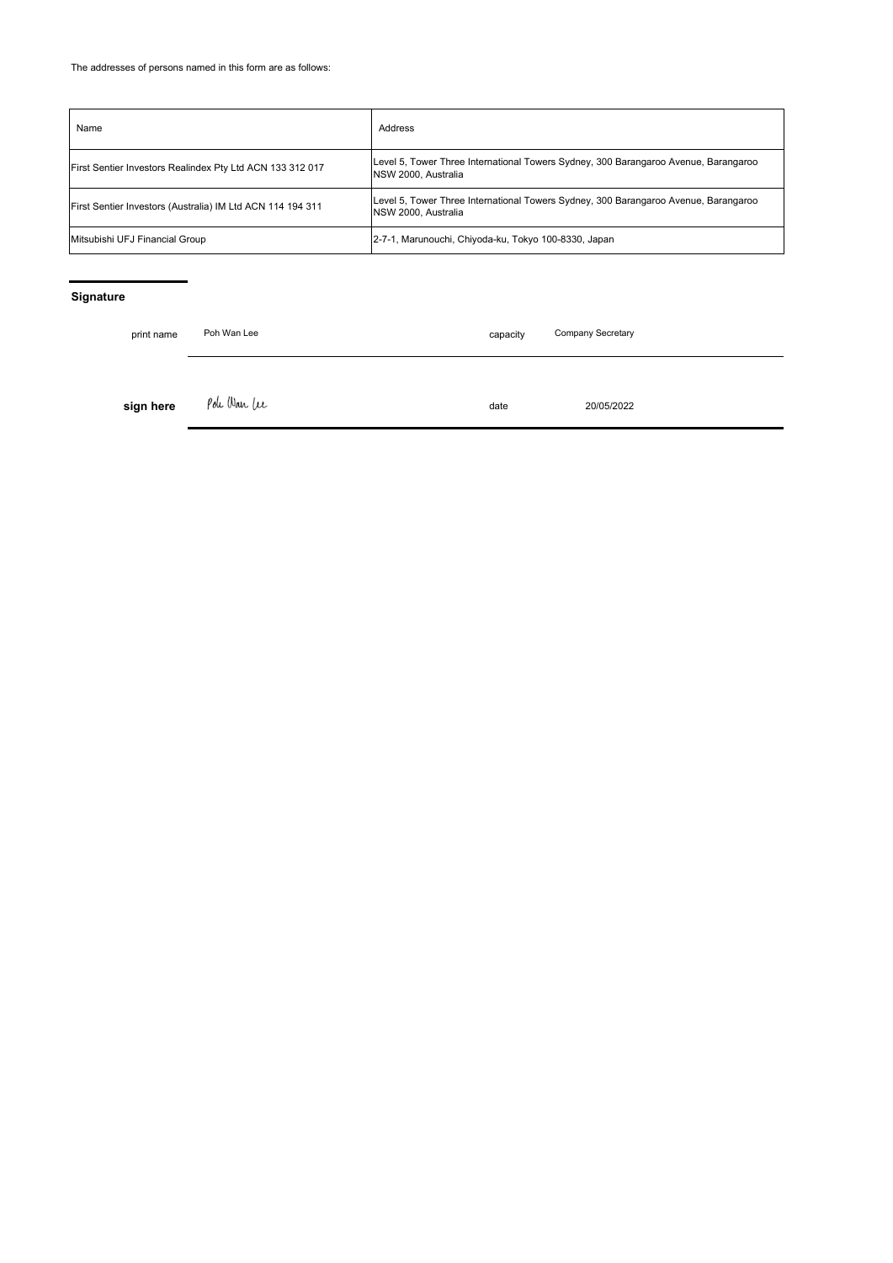| Name                                                       | Address                                                                                                    |
|------------------------------------------------------------|------------------------------------------------------------------------------------------------------------|
| First Sentier Investors Realindex Pty Ltd ACN 133 312 017  | Level 5, Tower Three International Towers Sydney, 300 Barangaroo Avenue, Barangaroo<br>NSW 2000. Australia |
| First Sentier Investors (Australia) IM Ltd ACN 114 194 311 | Level 5, Tower Three International Towers Sydney, 300 Barangaroo Avenue, Barangaroo<br>NSW 2000. Australia |
| Mitsubishi UFJ Financial Group                             | 2-7-1, Marunouchi, Chiyoda-ku, Tokyo 100-8330, Japan                                                       |

# **Signature**

| print name | Poh Wan Lee<br>capacity |      | Company Secretary |
|------------|-------------------------|------|-------------------|
| sign here  | Pole Wan Lee            | date | 20/05/2022        |
|            |                         |      |                   |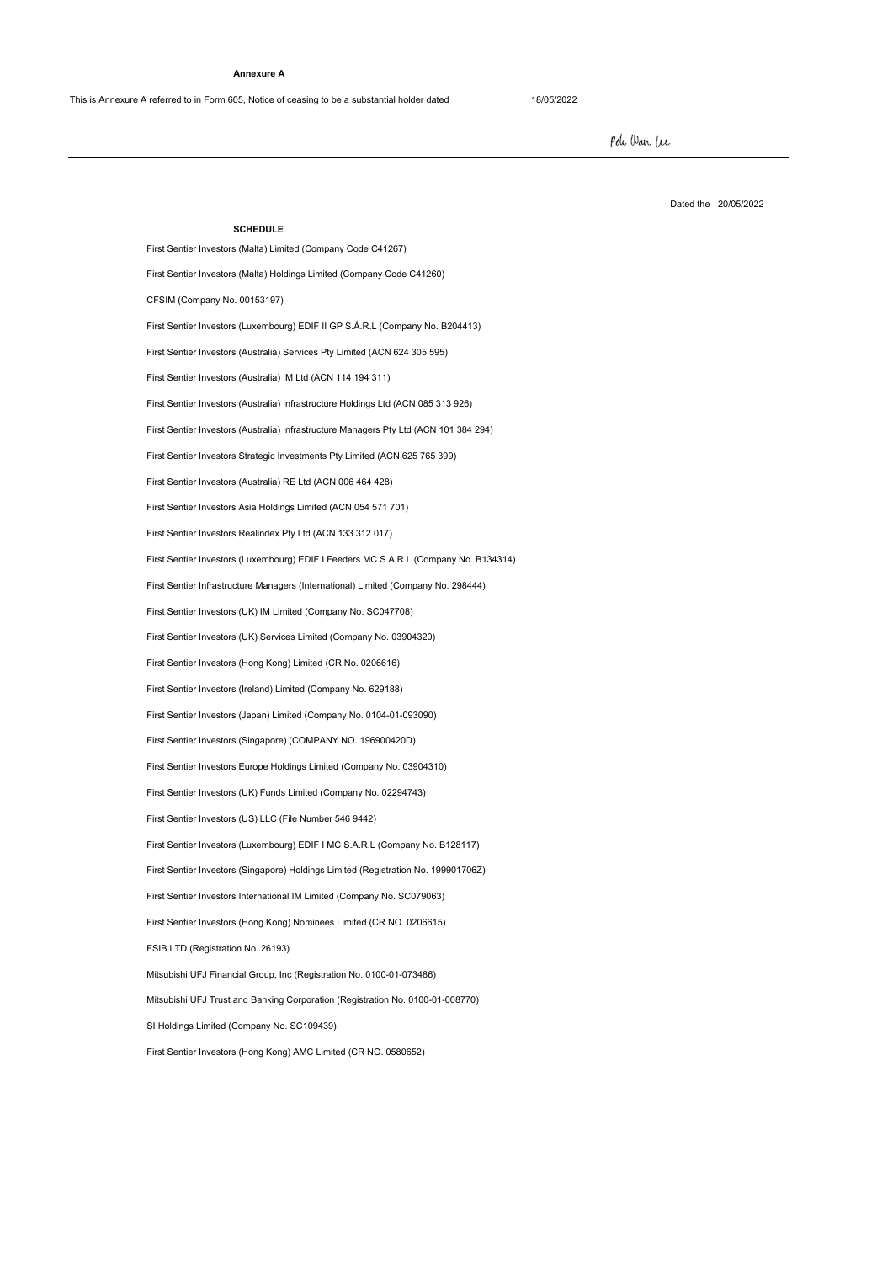#### **Annexure A**

This is Annexure A referred to in Form 605, Notice of ceasing to be a substantial holder dated 18/05/2022

First Sentier Investors (Hong Kong) AMC Limited (CR NO. 0580652)

Pole Wan Lee

Dated the 20/05/2022

**SCHEDULE** First Sentier Investors (Malta) Limited (Company Code C41267) First Sentier Investors (Luxembourg) EDIF I Feeders MC S.A.R.L (Company No. B134314) First Sentier Investors Realindex Pty Ltd (ACN 133 312 017) First Sentier Investors (Malta) Holdings Limited (Company Code C41260) First Sentier Investors (Australia) Services Pty Limited (ACN 624 305 595) First Sentier Investors (Luxembourg) EDIF II GP S.Á.R.L (Company No. B204413) CFSIM (Company No. 00153197) First Sentier Investors (Australia) Infrastructure Managers Pty Ltd (ACN 101 384 294) First Sentier Investors Strategic Investments Pty Limited (ACN 625 765 399) First Sentier Investors (Australia) IM Ltd (ACN 114 194 311) First Sentier Investors (Australia) Infrastructure Holdings Ltd (ACN 085 313 926) First Sentier Investors Asia Holdings Limited (ACN 054 571 701) First Sentier Investors (Australia) RE Ltd (ACN 006 464 428) First Sentier Investors (Japan) Limited (Company No. 0104-01-093090) First Sentier Investors (Luxembourg) EDIF I MC S.A.R.L (Company No. B128117) First Sentier Investors (Singapore) Holdings Limited (Registration No. 199901706Z) First Sentier Investors (US) LLC (File Number 546 9442) First Sentier Investors (UK) Funds Limited (Company No. 02294743) SI Holdings Limited (Company No. SC109439) Mitsubishi UFJ Trust and Banking Corporation (Registration No. 0100-01-008770) First Sentier Investors Europe Holdings Limited (Company No. 03904310) First Sentier Investors (Singapore) (COMPANY NO. 196900420D) First Sentier Investors (UK) IM Limited (Company No. SC047708) FSIB LTD (Registration No. 26193) First Sentier Infrastructure Managers (International) Limited (Company No. 298444) First Sentier Investors (UK) Services Limited (Company No. 03904320) First Sentier Investors International IM Limited (Company No. SC079063) Mitsubishi UFJ Financial Group, Inc (Registration No. 0100-01-073486) First Sentier Investors (Hong Kong) Nominees Limited (CR NO. 0206615) First Sentier Investors (Hong Kong) Limited (CR No. 0206616) First Sentier Investors (Ireland) Limited (Company No. 629188)